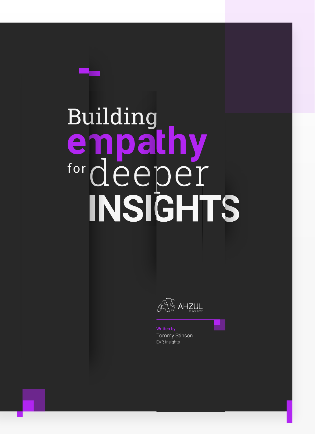# Building<br> **empathy**<br>
f<sup>or</sup> deeper INSIGHTS

 $\text{A}\rightarrow\text{A}$ 

Tommy Stinson EVP, Insights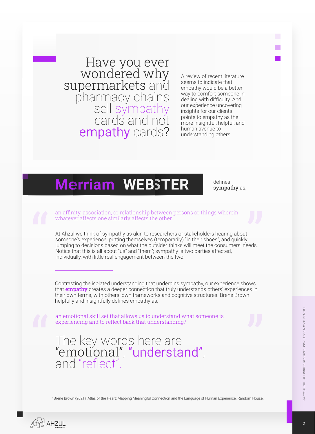Have you ever wondered why supermarkets and pharmacy chains sell sympathy cards and not empathy cards?

A review of recent literature seems to indicate that empathy would be a better way to comfort someone in dealing with difficulty. And our experience uncovering insights for our clients points to empathy as the more insightful, helpful, and human avenue to understanding others.

### **Merriam Merriam WEBSTER WEBSTER**

defines sympathy as,

an affinity, association, or relationship between persons or things wherein whatever affects one similarly affects the other.

At Ahzul we think of sympathy as akin to researchers or stakeholders hearing about someone's experience, putting themselves (temporarily) "in their shoes", and quickly jumping to decisions based on what the outsider thinks will meet the consumers' needs. Notice that this is all about "us" and "them"; sympathy is two parties affected, individually, with little real engagement between the two.

Contrasting the isolated understanding that underpins sympathy, our experience shows that **empathy** creates a deeper connection that truly understands others' experiences in their own terms, with others' own frameworks and cognitive structures. Brené Brown helpfully and insightfully defines empathy as,

an emotional skill set that allows us to understand what someone is experiencing and to reflect back that understanding.<sup>1</sup>

### The key words here are "emotional", "understand", and "reflect".

<sup>1</sup> Brené Brown (2021). Atlas of the Heart: Mapping Meaningful Connection and the Language of Human Experience. Random House

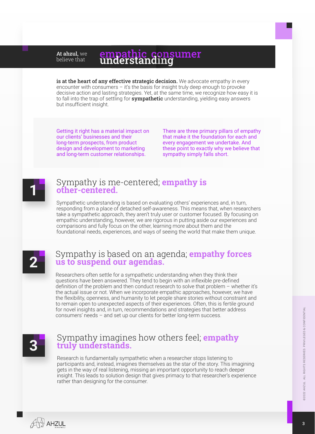#### empathic consumer<br>understanding At ahzul, we believe that

is at the heart of any effective strategic decision. We advocate empathy in every encounter with consumers – it's the basis for insight truly deep enough to provoke decisive action and lasting strategies. Yet, at the same time, we recognize how easy it is to fall into the trap of settling for **sympathetic** understanding, yielding easy answers but insufficient insight.

Getting it right has a material impact on our clients' businesses and their long-term prospects, from product design and development to marketing and long-term customer relationships.

There are three primary pillars of empathy that make it the foundation for each and every engagement we undertake. And these point to exactly why we believe that sympathy simply falls short.



### Sympathy is me-centered; **empathy is other-centered.**

Sympathetic understanding is based on evaluating others' experiences and, in turn, responding from a place of detached self-awareness. This means that, when researchers take a sympathetic approach, they aren't truly user or customer focused. By focusing on empathic understanding, however, we are rigorous in putting aside our experiences and comparisons and fully focus on the other, learning more about them and the foundational needs, experiences, and ways of seeing the world that make them unique.



### Sympathy is based on an agenda; **empathy forces us to suspend our agendas.**

Researchers often settle for a sympathetic understanding when they think their questions have been answered. They tend to begin with an inflexible pre-defined definition of the problem and then conduct research to solve that problem – whether it's the actual issue or not. When we incorporate empathic approaches, however, we have the flexibility, openness, and humanity to let people share stories without constraint and to remain open to unexpected aspects of their experiences. Often, this is fertile ground for novel insights and, in turn, recommendations and strategies that better address consumers' needs – and set up our clients for better long-term success.



### Sympathy imagines how others feel; **empathy truly understands.**

Research is fundamentally sympathetic when a researcher stops listening to participants and, instead, imagines themselves as the star of the story. This imagining gets in the way of real listening, missing an important opportunity to reach deeper insight. This leads to solution design that gives primacy to that researcher's experience rather than designing for the consumer.

 $\%$  AHZUL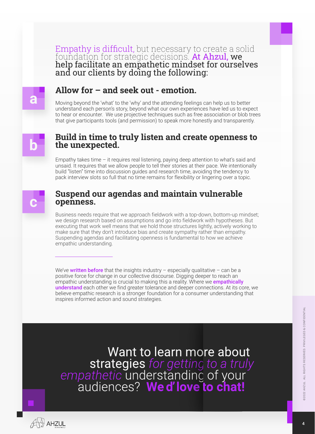**Empathy is difficult,** but necessary to create a solid<br>foundation for strategic decisions. **At Ahzul, we** help facilitate an empathetic mindset for ourselves and our clients by doing the following:

### **a**

#### **Allow for – and seek out - emotion.**

Moving beyond the 'what' to the 'why' and the attending feelings can help us to better understand each person's story, beyond what our own experiences have led us to expect to hear or encounter. We use projective techniques such as free association or blob trees that give participants tools (and permission) to speak more honestly and transparently.

## **b**

#### **Build in time to truly listen and create openness to the unexpected.**

Empathy takes time  $-$  it requires real listening, paying deep attention to what's said and unsaid. It requires that we allow people to tell their stories at their pace. We intentionally build "listen" time into discussion guides and research time, avoiding the tendency to pack interview slots so full that no time remains for flexibility or lingering over a topic.



#### **Suspend our agendas and maintain vulnerable openness.**

Business needs require that we approach fieldwork with a top-down, bottom-up mindset; we design research based on assumptions and go into fieldwork with hypotheses. But executing that work well means that we hold those structures lightly, actively working to make sure that they don't introduce bias and create sympathy rather than empathy. Suspending agendas and facilitating openness is fundamental to how we achieve empathic understanding.

We've written before that the insights industry – especially qualitative – can be a positive force for change in our collective discourse. Digging deeper to reach an empathic understanding is crucial to making this a reality. Where we **empathically** understand each other we find greater tolerance and deeper connections. At its core, we believe empathic research is a stronger foundation for a consumer understanding that inspires informed action and sound strategies.

Want to learn more about strategies for getting to a truly<br>empathetic understanding of your<br>audiences? Wed'love to chat!